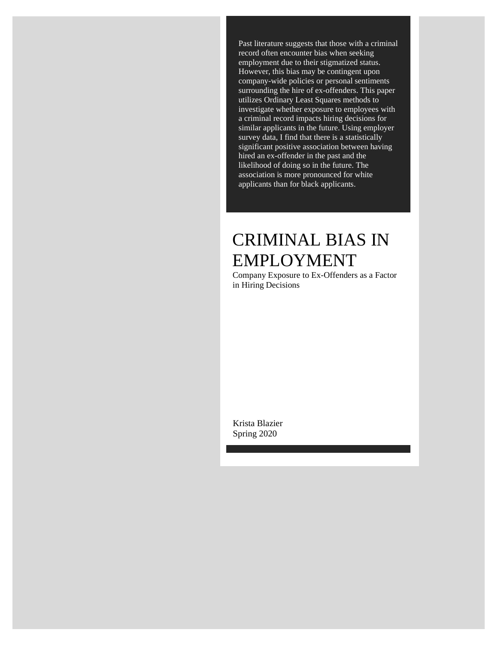Past literature suggests that those with a criminal record often encounter bias when seeking employment due to their stigmatized status. However, this bias may be contingent upon company-wide policies or personal sentiments surrounding the hire of ex-offenders. This paper utilizes Ordinary Least Squares methods to investigate whether exposure to employees with a criminal record impacts hiring decisions for similar applicants in the future. Using employer survey data, I find that there is a statistically significant positive association between having hired an ex-offender in the past and the likelihood of doing so in the future. The association is more pronounced for white applicants than for black applicants.

# CRIMINAL BIAS IN EMPLOYMENT

Company Exposure to Ex-Offenders as a Factor in Hiring Decisions

Krista Blazier Spring 2020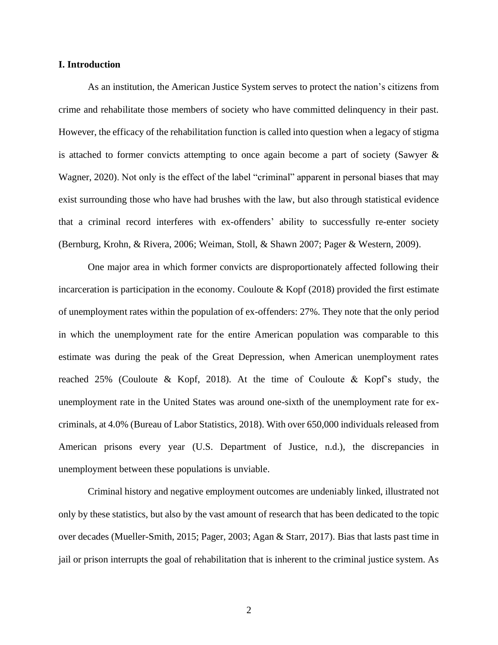#### **I. Introduction**

As an institution, the American Justice System serves to protect the nation's citizens from crime and rehabilitate those members of society who have committed delinquency in their past. However, the efficacy of the rehabilitation function is called into question when a legacy of stigma is attached to former convicts attempting to once again become a part of society (Sawyer & Wagner, 2020). Not only is the effect of the label "criminal" apparent in personal biases that may exist surrounding those who have had brushes with the law, but also through statistical evidence that a criminal record interferes with ex-offenders' ability to successfully re-enter society (Bernburg, Krohn, & Rivera, 2006; Weiman, Stoll, & Shawn 2007; Pager & Western, 2009).

One major area in which former convicts are disproportionately affected following their incarceration is participation in the economy. Couloute  $\&$  Kopf (2018) provided the first estimate of unemployment rates within the population of ex-offenders: 27%. They note that the only period in which the unemployment rate for the entire American population was comparable to this estimate was during the peak of the Great Depression, when American unemployment rates reached 25% (Couloute & Kopf, 2018). At the time of Couloute & Kopf's study, the unemployment rate in the United States was around one-sixth of the unemployment rate for excriminals, at 4.0% (Bureau of Labor Statistics, 2018). With over 650,000 individuals released from American prisons every year (U.S. Department of Justice, n.d.), the discrepancies in unemployment between these populations is unviable.

Criminal history and negative employment outcomes are undeniably linked, illustrated not only by these statistics, but also by the vast amount of research that has been dedicated to the topic over decades (Mueller-Smith, 2015; Pager, 2003; Agan & Starr, 2017). Bias that lasts past time in jail or prison interrupts the goal of rehabilitation that is inherent to the criminal justice system. As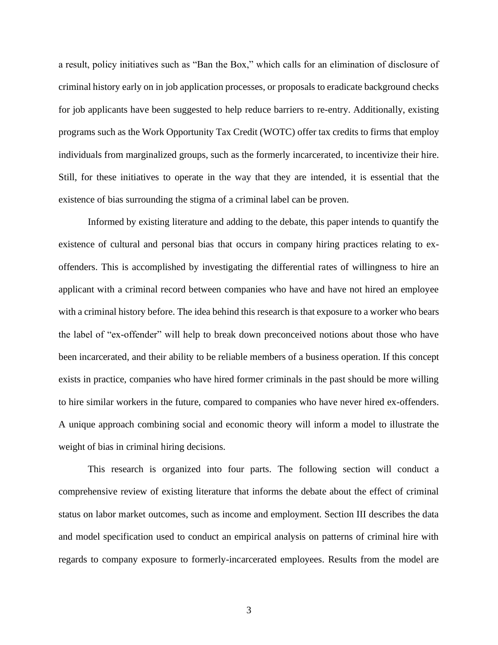a result, policy initiatives such as "Ban the Box," which calls for an elimination of disclosure of criminal history early on in job application processes, or proposals to eradicate background checks for job applicants have been suggested to help reduce barriers to re-entry. Additionally, existing programs such as the Work Opportunity Tax Credit (WOTC) offer tax credits to firms that employ individuals from marginalized groups, such as the formerly incarcerated, to incentivize their hire. Still, for these initiatives to operate in the way that they are intended, it is essential that the existence of bias surrounding the stigma of a criminal label can be proven.

Informed by existing literature and adding to the debate, this paper intends to quantify the existence of cultural and personal bias that occurs in company hiring practices relating to exoffenders. This is accomplished by investigating the differential rates of willingness to hire an applicant with a criminal record between companies who have and have not hired an employee with a criminal history before. The idea behind this research is that exposure to a worker who bears the label of "ex-offender" will help to break down preconceived notions about those who have been incarcerated, and their ability to be reliable members of a business operation. If this concept exists in practice, companies who have hired former criminals in the past should be more willing to hire similar workers in the future, compared to companies who have never hired ex-offenders. A unique approach combining social and economic theory will inform a model to illustrate the weight of bias in criminal hiring decisions.

This research is organized into four parts. The following section will conduct a comprehensive review of existing literature that informs the debate about the effect of criminal status on labor market outcomes, such as income and employment. Section III describes the data and model specification used to conduct an empirical analysis on patterns of criminal hire with regards to company exposure to formerly-incarcerated employees. Results from the model are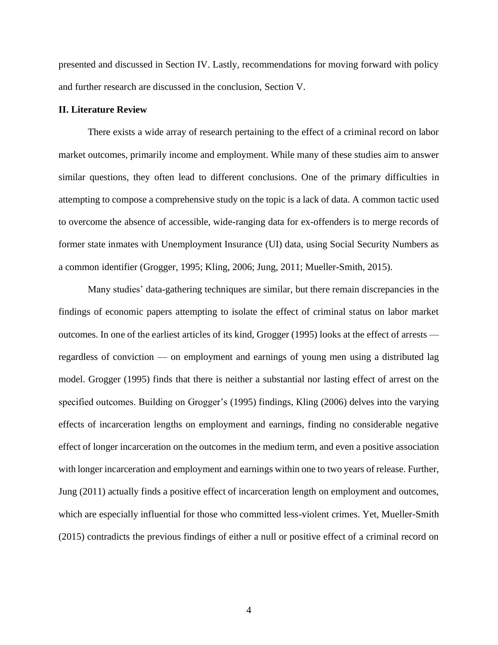presented and discussed in Section IV. Lastly, recommendations for moving forward with policy and further research are discussed in the conclusion, Section V.

#### **II. Literature Review**

There exists a wide array of research pertaining to the effect of a criminal record on labor market outcomes, primarily income and employment. While many of these studies aim to answer similar questions, they often lead to different conclusions. One of the primary difficulties in attempting to compose a comprehensive study on the topic is a lack of data. A common tactic used to overcome the absence of accessible, wide-ranging data for ex-offenders is to merge records of former state inmates with Unemployment Insurance (UI) data, using Social Security Numbers as a common identifier (Grogger, 1995; Kling, 2006; Jung, 2011; Mueller-Smith, 2015).

Many studies' data-gathering techniques are similar, but there remain discrepancies in the findings of economic papers attempting to isolate the effect of criminal status on labor market outcomes. In one of the earliest articles of its kind, Grogger (1995) looks at the effect of arrests regardless of conviction — on employment and earnings of young men using a distributed lag model. Grogger (1995) finds that there is neither a substantial nor lasting effect of arrest on the specified outcomes. Building on Grogger's (1995) findings, Kling (2006) delves into the varying effects of incarceration lengths on employment and earnings, finding no considerable negative effect of longer incarceration on the outcomes in the medium term, and even a positive association with longer incarceration and employment and earnings within one to two years of release. Further, Jung (2011) actually finds a positive effect of incarceration length on employment and outcomes, which are especially influential for those who committed less-violent crimes. Yet, Mueller-Smith (2015) contradicts the previous findings of either a null or positive effect of a criminal record on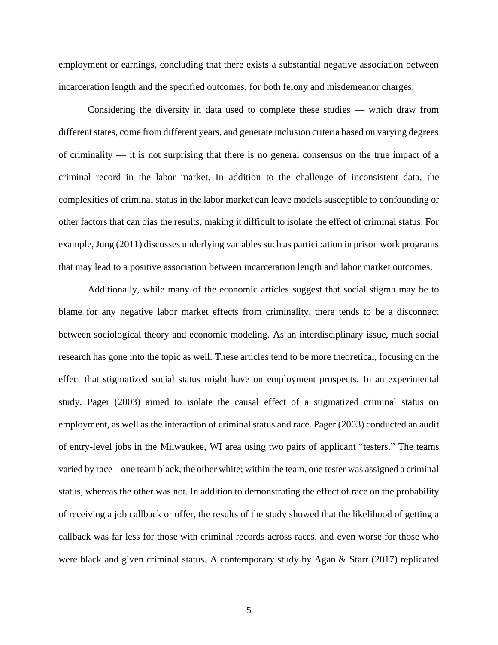employment or earnings, concluding that there exists a substantial negative association between incarceration length and the specified outcomes, for both felony and misdemeanor charges.

Considering the diversity in data used to complete these studies — which draw from different states, come from different years, and generate inclusion criteria based on varying degrees of criminality — it is not surprising that there is no general consensus on the true impact of a criminal record in the labor market. In addition to the challenge of inconsistent data, the complexities of criminal status in the labor market can leave models susceptible to confounding or other factors that can bias the results, making it difficult to isolate the effect of criminal status. For example, Jung (2011) discusses underlying variables such as participation in prison work programs that may lead to a positive association between incarceration length and labor market outcomes.

Additionally, while many of the economic articles suggest that social stigma may be to blame for any negative labor market effects from criminality, there tends to be a disconnect between sociological theory and economic modeling. As an interdisciplinary issue, much social research has gone into the topic as well. These articles tend to be more theoretical, focusing on the effect that stigmatized social status might have on employment prospects. In an experimental study, Pager (2003) aimed to isolate the causal effect of a stigmatized criminal status on employment, as well as the interaction of criminal status and race. Pager (2003) conducted an audit of entry-level jobs in the Milwaukee, WI area using two pairs of applicant "testers." The teams varied by race – one team black, the other white; within the team, one tester was assigned a criminal status, whereas the other was not. In addition to demonstrating the effect of race on the probability of receiving a job callback or offer, the results of the study showed that the likelihood of getting a callback was far less for those with criminal records across races, and even worse for those who were black and given criminal status. A contemporary study by Agan & Starr (2017) replicated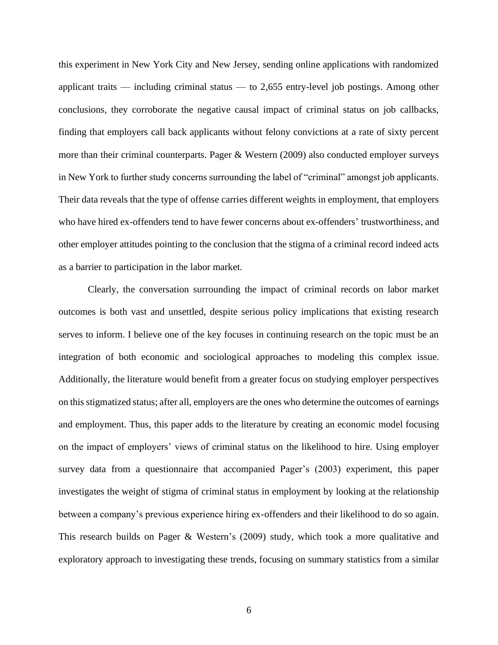this experiment in New York City and New Jersey, sending online applications with randomized applicant traits — including criminal status — to  $2,655$  entry-level job postings. Among other conclusions, they corroborate the negative causal impact of criminal status on job callbacks, finding that employers call back applicants without felony convictions at a rate of sixty percent more than their criminal counterparts. Pager & Western (2009) also conducted employer surveys in New York to further study concerns surrounding the label of "criminal" amongst job applicants. Their data reveals that the type of offense carries different weights in employment, that employers who have hired ex-offenders tend to have fewer concerns about ex-offenders' trustworthiness, and other employer attitudes pointing to the conclusion that the stigma of a criminal record indeed acts as a barrier to participation in the labor market.

Clearly, the conversation surrounding the impact of criminal records on labor market outcomes is both vast and unsettled, despite serious policy implications that existing research serves to inform. I believe one of the key focuses in continuing research on the topic must be an integration of both economic and sociological approaches to modeling this complex issue. Additionally, the literature would benefit from a greater focus on studying employer perspectives on this stigmatized status; after all, employers are the ones who determine the outcomes of earnings and employment. Thus, this paper adds to the literature by creating an economic model focusing on the impact of employers' views of criminal status on the likelihood to hire. Using employer survey data from a questionnaire that accompanied Pager's (2003) experiment, this paper investigates the weight of stigma of criminal status in employment by looking at the relationship between a company's previous experience hiring ex-offenders and their likelihood to do so again. This research builds on Pager & Western's (2009) study, which took a more qualitative and exploratory approach to investigating these trends, focusing on summary statistics from a similar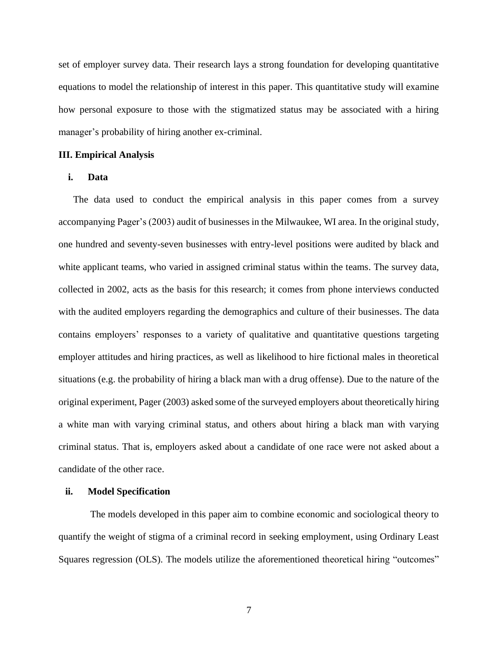set of employer survey data. Their research lays a strong foundation for developing quantitative equations to model the relationship of interest in this paper. This quantitative study will examine how personal exposure to those with the stigmatized status may be associated with a hiring manager's probability of hiring another ex-criminal.

#### **III. Empirical Analysis**

## **i. Data**

The data used to conduct the empirical analysis in this paper comes from a survey accompanying Pager's (2003) audit of businesses in the Milwaukee, WI area. In the original study, one hundred and seventy-seven businesses with entry-level positions were audited by black and white applicant teams, who varied in assigned criminal status within the teams. The survey data, collected in 2002, acts as the basis for this research; it comes from phone interviews conducted with the audited employers regarding the demographics and culture of their businesses. The data contains employers' responses to a variety of qualitative and quantitative questions targeting employer attitudes and hiring practices, as well as likelihood to hire fictional males in theoretical situations (e.g. the probability of hiring a black man with a drug offense). Due to the nature of the original experiment, Pager (2003) asked some of the surveyed employers about theoretically hiring a white man with varying criminal status, and others about hiring a black man with varying criminal status. That is, employers asked about a candidate of one race were not asked about a candidate of the other race.

#### **ii. Model Specification**

The models developed in this paper aim to combine economic and sociological theory to quantify the weight of stigma of a criminal record in seeking employment, using Ordinary Least Squares regression (OLS). The models utilize the aforementioned theoretical hiring "outcomes"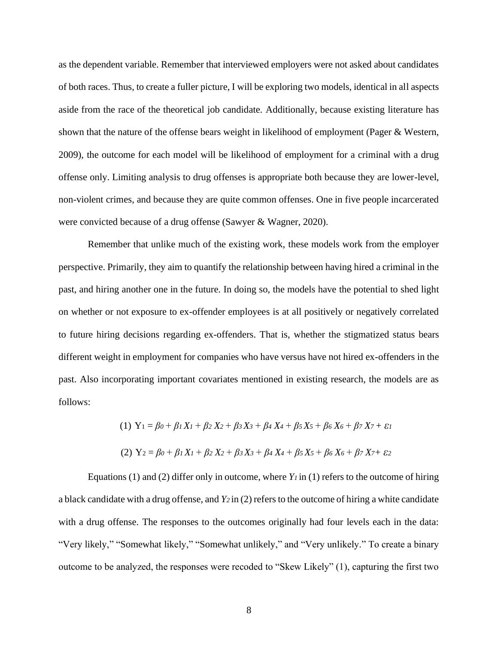as the dependent variable. Remember that interviewed employers were not asked about candidates of both races. Thus, to create a fuller picture, I will be exploring two models, identical in all aspects aside from the race of the theoretical job candidate. Additionally, because existing literature has shown that the nature of the offense bears weight in likelihood of employment (Pager & Western, 2009), the outcome for each model will be likelihood of employment for a criminal with a drug offense only. Limiting analysis to drug offenses is appropriate both because they are lower-level, non-violent crimes, and because they are quite common offenses. One in five people incarcerated were convicted because of a drug offense (Sawyer & Wagner, 2020).

Remember that unlike much of the existing work, these models work from the employer perspective. Primarily, they aim to quantify the relationship between having hired a criminal in the past, and hiring another one in the future. In doing so, the models have the potential to shed light on whether or not exposure to ex-offender employees is at all positively or negatively correlated to future hiring decisions regarding ex-offenders. That is, whether the stigmatized status bears different weight in employment for companies who have versus have not hired ex-offenders in the past. Also incorporating important covariates mentioned in existing research, the models are as follows:

(1) 
$$
Y_1 = \beta_0 + \beta_1 X_1 + \beta_2 X_2 + \beta_3 X_3 + \beta_4 X_4 + \beta_5 X_5 + \beta_6 X_6 + \beta_7 X_7 + \varepsilon_1
$$
  
(2)  $Y_2 = \beta_0 + \beta_1 X_1 + \beta_2 X_2 + \beta_3 X_3 + \beta_4 X_4 + \beta_5 X_5 + \beta_6 X_6 + \beta_7 X_7 + \varepsilon_2$ 

Equations (1) and (2) differ only in outcome, where *Y<sup>1</sup>* in (1) refers to the outcome of hiring a black candidate with a drug offense, and *Y2* in (2) refers to the outcome of hiring a white candidate with a drug offense. The responses to the outcomes originally had four levels each in the data: "Very likely," "Somewhat likely," "Somewhat unlikely," and "Very unlikely." To create a binary outcome to be analyzed, the responses were recoded to "Skew Likely" (1), capturing the first two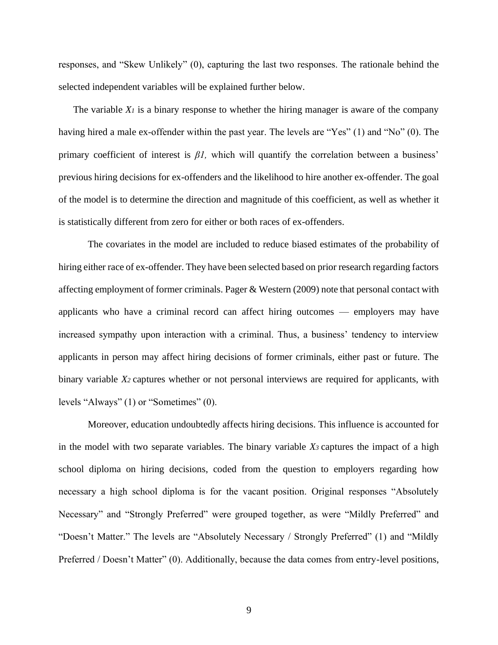responses, and "Skew Unlikely" (0), capturing the last two responses. The rationale behind the selected independent variables will be explained further below.

The variable  $X_I$  is a binary response to whether the hiring manager is aware of the company having hired a male ex-offender within the past year. The levels are "Yes" (1) and "No" (0). The primary coefficient of interest is *β1,* which will quantify the correlation between a business' previous hiring decisions for ex-offenders and the likelihood to hire another ex-offender. The goal of the model is to determine the direction and magnitude of this coefficient, as well as whether it is statistically different from zero for either or both races of ex-offenders.

The covariates in the model are included to reduce biased estimates of the probability of hiring either race of ex-offender. They have been selected based on prior research regarding factors affecting employment of former criminals. Pager & Western (2009) note that personal contact with applicants who have a criminal record can affect hiring outcomes — employers may have increased sympathy upon interaction with a criminal. Thus, a business' tendency to interview applicants in person may affect hiring decisions of former criminals, either past or future. The binary variable *X<sup>2</sup>* captures whether or not personal interviews are required for applicants, with levels "Always" (1) or "Sometimes" (0).

Moreover, education undoubtedly affects hiring decisions. This influence is accounted for in the model with two separate variables. The binary variable *X3* captures the impact of a high school diploma on hiring decisions, coded from the question to employers regarding how necessary a high school diploma is for the vacant position. Original responses "Absolutely Necessary" and "Strongly Preferred" were grouped together, as were "Mildly Preferred" and "Doesn't Matter." The levels are "Absolutely Necessary / Strongly Preferred" (1) and "Mildly Preferred / Doesn't Matter" (0). Additionally, because the data comes from entry-level positions,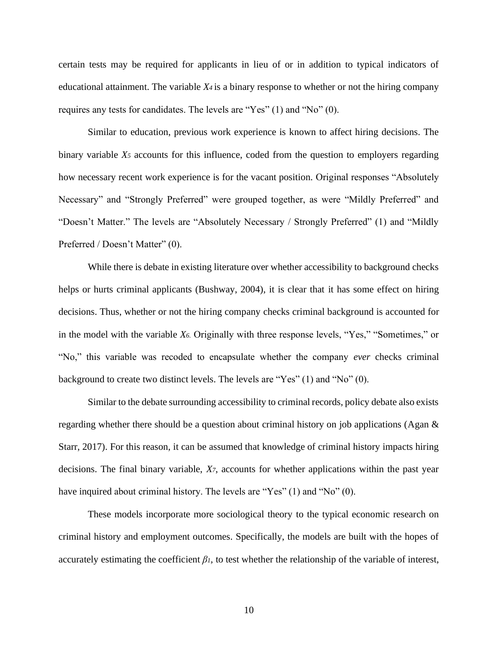certain tests may be required for applicants in lieu of or in addition to typical indicators of educational attainment. The variable  $X_4$  is a binary response to whether or not the hiring company requires any tests for candidates. The levels are "Yes" (1) and "No" (0).

Similar to education, previous work experience is known to affect hiring decisions. The binary variable *X<sup>5</sup>* accounts for this influence, coded from the question to employers regarding how necessary recent work experience is for the vacant position. Original responses "Absolutely Necessary" and "Strongly Preferred" were grouped together, as were "Mildly Preferred" and "Doesn't Matter." The levels are "Absolutely Necessary / Strongly Preferred" (1) and "Mildly Preferred / Doesn't Matter" (0).

While there is debate in existing literature over whether accessibility to background checks helps or hurts criminal applicants (Bushway, 2004), it is clear that it has some effect on hiring decisions. Thus, whether or not the hiring company checks criminal background is accounted for in the model with the variable *X6.* Originally with three response levels, "Yes," "Sometimes," or "No," this variable was recoded to encapsulate whether the company *ever* checks criminal background to create two distinct levels. The levels are "Yes" (1) and "No" (0).

Similar to the debate surrounding accessibility to criminal records, policy debate also exists regarding whether there should be a question about criminal history on job applications (Agan & Starr, 2017). For this reason, it can be assumed that knowledge of criminal history impacts hiring decisions. The final binary variable, *X7*, accounts for whether applications within the past year have inquired about criminal history. The levels are "Yes" (1) and "No" (0).

These models incorporate more sociological theory to the typical economic research on criminal history and employment outcomes. Specifically, the models are built with the hopes of accurately estimating the coefficient  $\beta_l$ , to test whether the relationship of the variable of interest,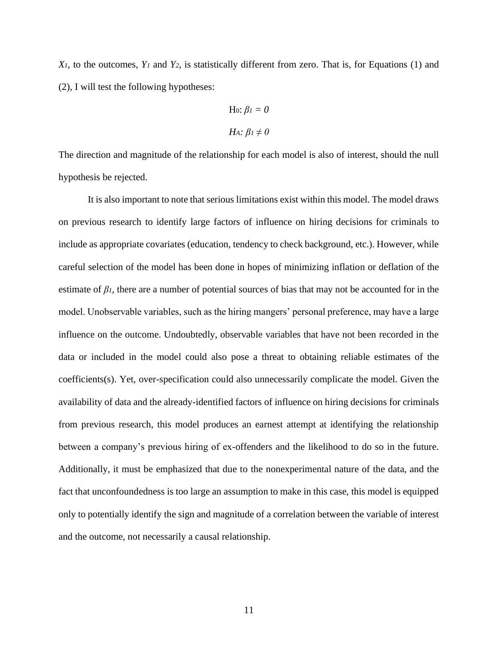*X1,* to the outcomes, *Y<sup>1</sup>* and *Y2*, is statistically different from zero. That is, for Equations (1) and (2), I will test the following hypotheses:

Ho: 
$$
β1 = 0
$$
  
Ha:  $β1 ≠ 0$ 

The direction and magnitude of the relationship for each model is also of interest, should the null hypothesis be rejected.

It is also important to note that serious limitations exist within this model. The model draws on previous research to identify large factors of influence on hiring decisions for criminals to include as appropriate covariates (education, tendency to check background, etc.). However, while careful selection of the model has been done in hopes of minimizing inflation or deflation of the estimate of  $\beta$ *l*, there are a number of potential sources of bias that may not be accounted for in the model. Unobservable variables, such as the hiring mangers' personal preference, may have a large influence on the outcome. Undoubtedly, observable variables that have not been recorded in the data or included in the model could also pose a threat to obtaining reliable estimates of the coefficients(s). Yet, over-specification could also unnecessarily complicate the model. Given the availability of data and the already-identified factors of influence on hiring decisions for criminals from previous research, this model produces an earnest attempt at identifying the relationship between a company's previous hiring of ex-offenders and the likelihood to do so in the future. Additionally, it must be emphasized that due to the nonexperimental nature of the data, and the fact that unconfoundedness is too large an assumption to make in this case, this model is equipped only to potentially identify the sign and magnitude of a correlation between the variable of interest and the outcome, not necessarily a causal relationship.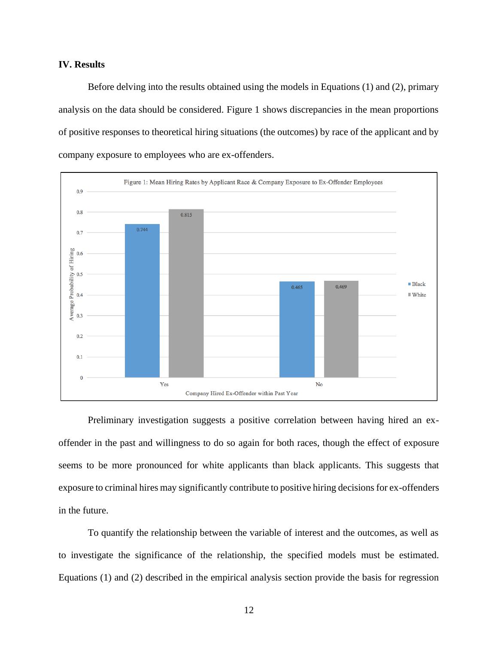#### **IV. Results**

Before delving into the results obtained using the models in Equations (1) and (2), primary analysis on the data should be considered. Figure 1 shows discrepancies in the mean proportions of positive responses to theoretical hiring situations (the outcomes) by race of the applicant and by company exposure to employees who are ex-offenders.



Preliminary investigation suggests a positive correlation between having hired an exoffender in the past and willingness to do so again for both races, though the effect of exposure seems to be more pronounced for white applicants than black applicants. This suggests that exposure to criminal hires may significantly contribute to positive hiring decisions for ex-offenders in the future.

To quantify the relationship between the variable of interest and the outcomes, as well as to investigate the significance of the relationship, the specified models must be estimated. Equations (1) and (2) described in the empirical analysis section provide the basis for regression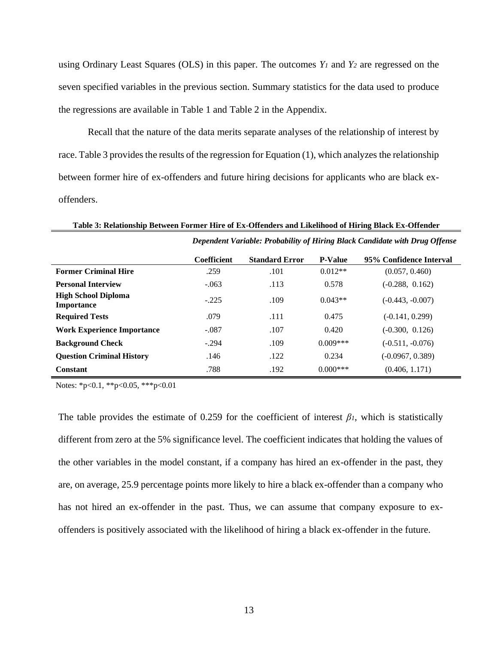using Ordinary Least Squares (OLS) in this paper. The outcomes *Y<sup>1</sup>* and *Y<sup>2</sup>* are regressed on the seven specified variables in the previous section. Summary statistics for the data used to produce the regressions are available in Table 1 and Table 2 in the Appendix.

Recall that the nature of the data merits separate analyses of the relationship of interest by race. Table 3 provides the results of the regression for Equation (1), which analyzes the relationship between former hire of ex-offenders and future hiring decisions for applicants who are black exoffenders.

*Dependent Variable: Probability of Hiring Black Candidate with Drug Offense* **Coefficient Standard Error P-Value 95% Confidence Interval Former Criminal Hire** .259 .101 0.012\*\* (0.057, 0.460) **Personal Interview** -.063 .113 0.578 (-0.288, 0.162) **High School Diploma** 

**Importance** -.225 .109 0.043\*\* (-0.443, -0.007) **Required Tests** .079 .111 .0.299 .111 .0.299) **Work Experience Importance**  $-0.87$  .107 0.420 (-0.300, 0.126) **Background Check** -.294 .109 0.009\*\*\* (-0.511, -0.076) **Question Criminal History** 1146 .122 .122 .1234 (-0.0967, 0.389) **Constant** .788 .192 .192 .1000<sup>\*\*\*</sup> (0.406, 1.171)

**Table 3: Relationship Between Former Hire of Ex-Offenders and Likelihood of Hiring Black Ex-Offender**

Notes: \*p<0.1, \*\*p<0.05, \*\*\*p<0.01

The table provides the estimate of 0.259 for the coefficient of interest  $\beta$ *l*, which is statistically different from zero at the 5% significance level. The coefficient indicates that holding the values of the other variables in the model constant, if a company has hired an ex-offender in the past, they are, on average, 25.9 percentage points more likely to hire a black ex-offender than a company who has not hired an ex-offender in the past. Thus, we can assume that company exposure to exoffenders is positively associated with the likelihood of hiring a black ex-offender in the future.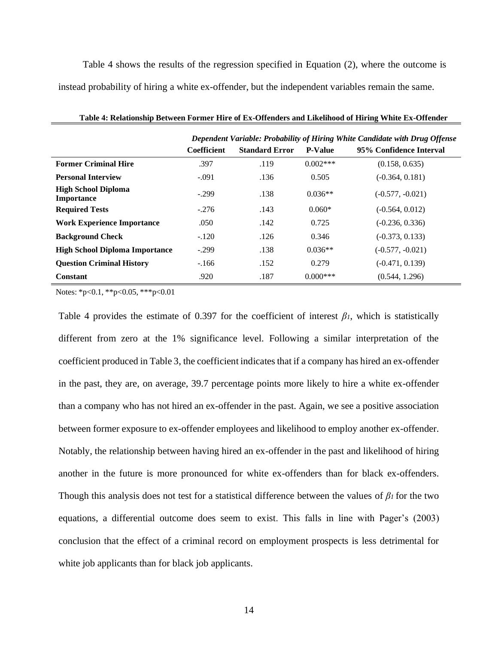Table 4 shows the results of the regression specified in Equation (2), where the outcome is instead probability of hiring a white ex-offender, but the independent variables remain the same.

|                                                 | Dependent Variable: Probability of Hiring White Candidate with Drug Offense |                       |                |                         |  |
|-------------------------------------------------|-----------------------------------------------------------------------------|-----------------------|----------------|-------------------------|--|
|                                                 | <b>Coefficient</b>                                                          | <b>Standard Error</b> | <b>P-Value</b> | 95% Confidence Interval |  |
| <b>Former Criminal Hire</b>                     | .397                                                                        | .119                  | $0.002***$     | (0.158, 0.635)          |  |
| <b>Personal Interview</b>                       | $-.091$                                                                     | .136                  | 0.505          | $(-0.364, 0.181)$       |  |
| <b>High School Diploma</b><br><b>Importance</b> | $-.299$                                                                     | .138                  | $0.036**$      | $(-0.577, -0.021)$      |  |
| <b>Required Tests</b>                           | $-.276$                                                                     | .143                  | $0.060*$       | $(-0.564, 0.012)$       |  |
| <b>Work Experience Importance</b>               | .050                                                                        | .142                  | 0.725          | $(-0.236, 0.336)$       |  |
| <b>Background Check</b>                         | $-.120$                                                                     | .126                  | 0.346          | $(-0.373, 0.133)$       |  |
| <b>High School Diploma Importance</b>           | $-.299$                                                                     | .138                  | $0.036**$      | $(-0.577, -0.021)$      |  |
| <b>Question Criminal History</b>                | $-166$                                                                      | .152                  | 0.279          | $(-0.471, 0.139)$       |  |
| Constant                                        | .920                                                                        | .187                  | $0.000***$     | (0.544, 1.296)          |  |

**Table 4: Relationship Between Former Hire of Ex-Offenders and Likelihood of Hiring White Ex-Offender**

Notes: \*p<0.1, \*\*p<0.05, \*\*\*p<0.01

Table 4 provides the estimate of 0.397 for the coefficient of interest  $\beta$ *l*, which is statistically different from zero at the 1% significance level. Following a similar interpretation of the coefficient produced in Table 3, the coefficient indicates that if a company has hired an ex-offender in the past, they are, on average, 39.7 percentage points more likely to hire a white ex-offender than a company who has not hired an ex-offender in the past. Again, we see a positive association between former exposure to ex-offender employees and likelihood to employ another ex-offender. Notably, the relationship between having hired an ex-offender in the past and likelihood of hiring another in the future is more pronounced for white ex-offenders than for black ex-offenders. Though this analysis does not test for a statistical difference between the values of *β<sup>1</sup>* for the two equations, a differential outcome does seem to exist. This falls in line with Pager's (2003) conclusion that the effect of a criminal record on employment prospects is less detrimental for white job applicants than for black job applicants.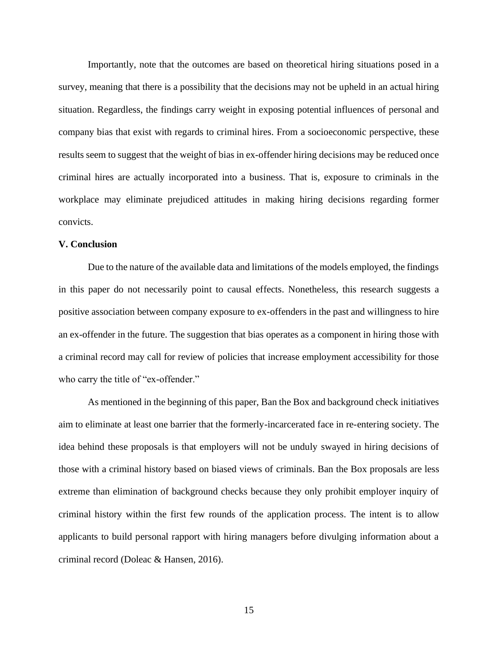Importantly, note that the outcomes are based on theoretical hiring situations posed in a survey, meaning that there is a possibility that the decisions may not be upheld in an actual hiring situation. Regardless, the findings carry weight in exposing potential influences of personal and company bias that exist with regards to criminal hires. From a socioeconomic perspective, these results seem to suggest that the weight of bias in ex-offender hiring decisions may be reduced once criminal hires are actually incorporated into a business. That is, exposure to criminals in the workplace may eliminate prejudiced attitudes in making hiring decisions regarding former convicts.

### **V. Conclusion**

Due to the nature of the available data and limitations of the models employed, the findings in this paper do not necessarily point to causal effects. Nonetheless, this research suggests a positive association between company exposure to ex-offenders in the past and willingness to hire an ex-offender in the future. The suggestion that bias operates as a component in hiring those with a criminal record may call for review of policies that increase employment accessibility for those who carry the title of "ex-offender."

As mentioned in the beginning of this paper, Ban the Box and background check initiatives aim to eliminate at least one barrier that the formerly-incarcerated face in re-entering society. The idea behind these proposals is that employers will not be unduly swayed in hiring decisions of those with a criminal history based on biased views of criminals. Ban the Box proposals are less extreme than elimination of background checks because they only prohibit employer inquiry of criminal history within the first few rounds of the application process. The intent is to allow applicants to build personal rapport with hiring managers before divulging information about a criminal record (Doleac & Hansen, 2016).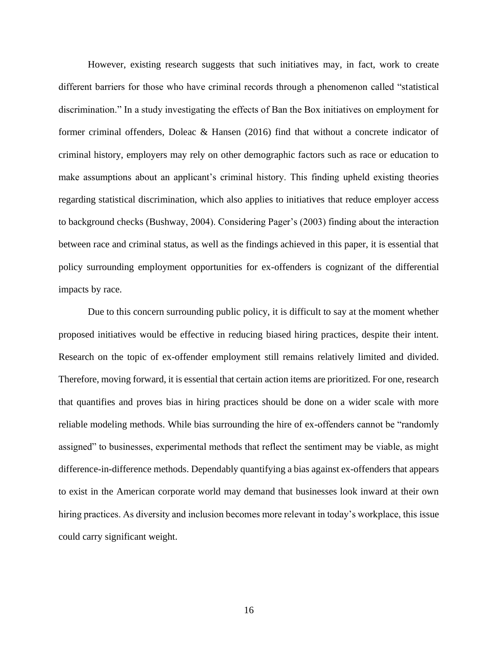However, existing research suggests that such initiatives may, in fact, work to create different barriers for those who have criminal records through a phenomenon called "statistical discrimination." In a study investigating the effects of Ban the Box initiatives on employment for former criminal offenders, Doleac & Hansen (2016) find that without a concrete indicator of criminal history, employers may rely on other demographic factors such as race or education to make assumptions about an applicant's criminal history. This finding upheld existing theories regarding statistical discrimination, which also applies to initiatives that reduce employer access to background checks (Bushway, 2004). Considering Pager's (2003) finding about the interaction between race and criminal status, as well as the findings achieved in this paper, it is essential that policy surrounding employment opportunities for ex-offenders is cognizant of the differential impacts by race.

Due to this concern surrounding public policy, it is difficult to say at the moment whether proposed initiatives would be effective in reducing biased hiring practices, despite their intent. Research on the topic of ex-offender employment still remains relatively limited and divided. Therefore, moving forward, it is essential that certain action items are prioritized. For one, research that quantifies and proves bias in hiring practices should be done on a wider scale with more reliable modeling methods. While bias surrounding the hire of ex-offenders cannot be "randomly assigned" to businesses, experimental methods that reflect the sentiment may be viable, as might difference-in-difference methods. Dependably quantifying a bias against ex-offenders that appears to exist in the American corporate world may demand that businesses look inward at their own hiring practices. As diversity and inclusion becomes more relevant in today's workplace, this issue could carry significant weight.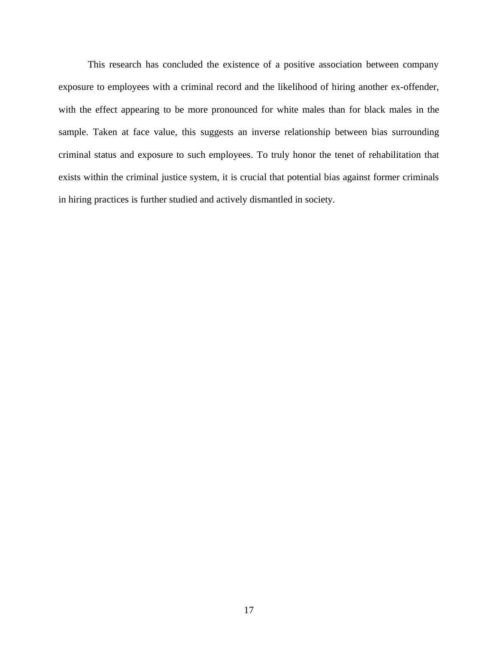This research has concluded the existence of a positive association between company exposure to employees with a criminal record and the likelihood of hiring another ex-offender, with the effect appearing to be more pronounced for white males than for black males in the sample. Taken at face value, this suggests an inverse relationship between bias surrounding criminal status and exposure to such employees. To truly honor the tenet of rehabilitation that exists within the criminal justice system, it is crucial that potential bias against former criminals in hiring practices is further studied and actively dismantled in society.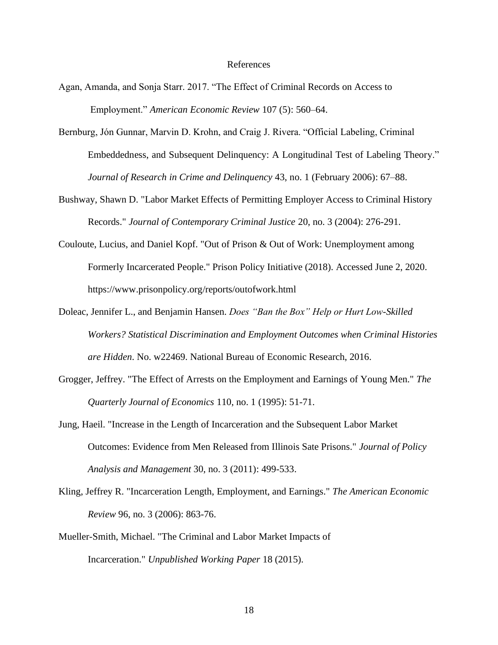#### References

- Agan, Amanda, and Sonja Starr. 2017. "The Effect of Criminal Records on Access to Employment." *American Economic Review* 107 (5): 560–64.
- Bernburg, Jón Gunnar, Marvin D. Krohn, and Craig J. Rivera. "Official Labeling, Criminal Embeddedness, and Subsequent Delinquency: A Longitudinal Test of Labeling Theory." *Journal of Research in Crime and Delinquency* 43, no. 1 (February 2006): 67–88.
- Bushway, Shawn D. "Labor Market Effects of Permitting Employer Access to Criminal History Records." *Journal of Contemporary Criminal Justice* 20, no. 3 (2004): 276-291.
- Couloute, Lucius, and Daniel Kopf. "Out of Prison & Out of Work: Unemployment among Formerly Incarcerated People." Prison Policy Initiative (2018). Accessed June 2, 2020. https://www.prisonpolicy.org/reports/outofwork.html
- Doleac, Jennifer L., and Benjamin Hansen. *Does "Ban the Box" Help or Hurt Low-Skilled Workers? Statistical Discrimination and Employment Outcomes when Criminal Histories are Hidden*. No. w22469. National Bureau of Economic Research, 2016.
- Grogger, Jeffrey. "The Effect of Arrests on the Employment and Earnings of Young Men." *The Quarterly Journal of Economics* 110, no. 1 (1995): 51-71.
- Jung, Haeil. "Increase in the Length of Incarceration and the Subsequent Labor Market Outcomes: Evidence from Men Released from Illinois Sate Prisons." *Journal of Policy Analysis and Management* 30, no. 3 (2011): 499-533.
- Kling, Jeffrey R. "Incarceration Length, Employment, and Earnings." *The American Economic Review* 96, no. 3 (2006): 863-76.
- Mueller-Smith, Michael. "The Criminal and Labor Market Impacts of Incarceration." *Unpublished Working Paper* 18 (2015).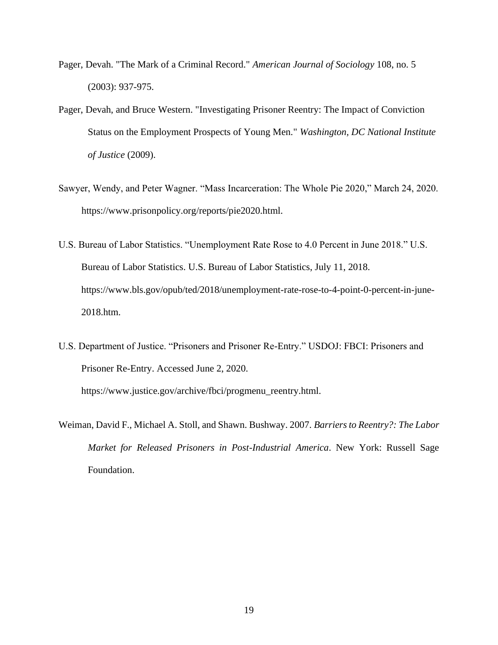- Pager, Devah. "The Mark of a Criminal Record." *American Journal of Sociology* 108, no. 5 (2003): 937-975.
- Pager, Devah, and Bruce Western. "Investigating Prisoner Reentry: The Impact of Conviction Status on the Employment Prospects of Young Men." *Washington, DC National Institute of Justice* (2009).
- Sawyer, Wendy, and Peter Wagner. "Mass Incarceration: The Whole Pie 2020," March 24, 2020. https://www.prisonpolicy.org/reports/pie2020.html.
- U.S. Bureau of Labor Statistics. "Unemployment Rate Rose to 4.0 Percent in June 2018." U.S. Bureau of Labor Statistics. U.S. Bureau of Labor Statistics, July 11, 2018. https://www.bls.gov/opub/ted/2018/unemployment-rate-rose-to-4-point-0-percent-in-june-2018.htm.
- U.S. Department of Justice. "Prisoners and Prisoner Re-Entry." USDOJ: FBCI: Prisoners and Prisoner Re-Entry. Accessed June 2, 2020. https://www.justice.gov/archive/fbci/progmenu\_reentry.html.
- Weiman, David F., Michael A. Stoll, and Shawn. Bushway. 2007. *Barriers to Reentry?: The Labor Market for Released Prisoners in Post-Industrial America*. New York: Russell Sage Foundation.